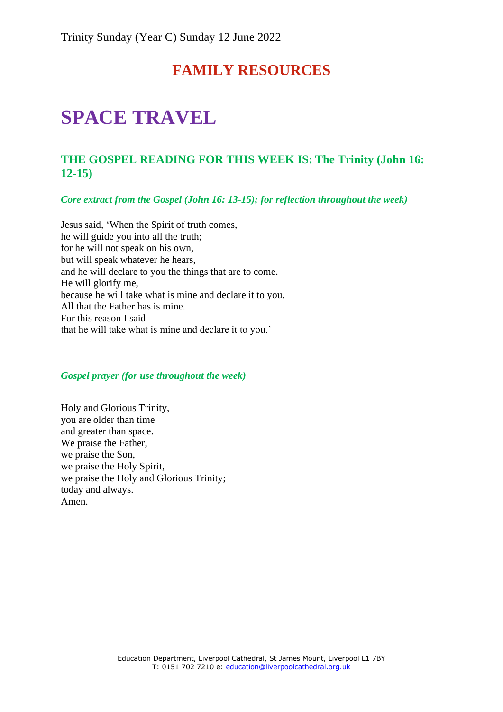## **FAMILY RESOURCES**

# **SPACE TRAVEL**

### **THE GOSPEL READING FOR THIS WEEK IS: The Trinity (John 16: 12-15)**

*Core extract from the Gospel (John 16: 13-15); for reflection throughout the week)*

Jesus said, 'When the Spirit of truth comes, he will guide you into all the truth; for he will not speak on his own, but will speak whatever he hears, and he will declare to you the things that are to come. He will glorify me, because he will take what is mine and declare it to you. All that the Father has is mine. For this reason I said that he will take what is mine and declare it to you.'

#### *Gospel prayer (for use throughout the week)*

Holy and Glorious Trinity, you are older than time and greater than space. We praise the Father, we praise the Son, we praise the Holy Spirit, we praise the Holy and Glorious Trinity; today and always. Amen.